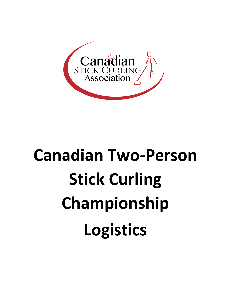

# **Canadian Two-Person Stick Curling Championship Logistics**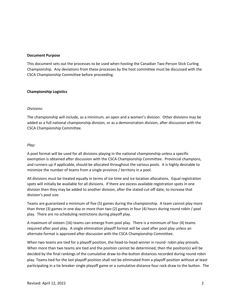#### **Document Purpose**

This document sets out the processes to be used when hosting the Canadian Two-Person Stick Curling Championship. Any deviations from these processes by the host committee must be discussed with the CSCA Championship Committee before proceeding.

#### **Championship Logistics**

#### *Divisions:*

The championship will include, as a minimum, an open and a women's division. Other divisions may be added as a full national championship division, or as a demonstration division, after discussion with the CSCA Championship Committee.

#### *Play:*

A pool format will be used for all divisions playing in the national championship unless a specific exemption is obtained after discussion with the CSCA Championship Committee. Provincial champions, and runners up if applicable, should be allocated throughout the various pools. It is highly desirable to minimize the number of teams from a single province / territory in a pool.

All divisions must be treated equally in terms of ice time and ice location allocations. Equal registration spots will initially be available for all divisions. If there are excess available registration spots in one division then they may be added to another division, after the stated cut-off date, to increase that division's pool size.

Teams are guaranteed a minimum of five (5) games during the championship. A team cannot play more than three (3) games in one day or more than two (2) games in four (4) hours during round robin / pool play. There are no scheduling restrictions during playoff play.

A maximum of sixteen (16) teams can emerge from pool play. There is a minimum of four (4) teams required after pool play. A single elimination playoff format will be used after pool play unless an alternate format is approved after discussion with the CSCA Championship Committee.

When two teams are tied for a playoff position, the head-to-head winner in round- robin play prevails. When more than two teams are tied and the position cannot be determined, then the position(s) will be decided by the final rankings of the cumulative draw-to-the-button distances recorded during round robin play. Teams tied for the last playoff position shall not be eliminated from a playoff position without at least participating in a tie breaker single playoff game or a cumulative distance four rock draw to the button. The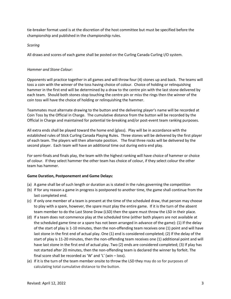tie-breaker format used is at the discretion of the host committee but must be specified before the championship and published in the championship rules.

## *Scoring*

All draws and scores of each game shall be posted on the Curling Canada Curling I/O system.

## *Hammer and Stone Colour:*

Opponents will practice together in all games and will throw four (4) stones up and back. The teams will toss a coin with the winner of the toss having choice of colour. Choice of holding or relinquishing hammer in the first end will be determined by a draw to the centre pin with the last stone delivered by each team. Should both stones stop touching the centre pin or miss the rings then the winner of the coin toss will have the choice of holding or relinquishing the hammer.

Teammates must alternate drawing to the button and the delivering player's name will be recorded at Coin Toss by the Official in Charge. The cumulative distance from the button will be recorded by the Official in Charge and maintained for potential tie-breaking and/or post-event team ranking purposes.

All extra ends shall be played toward the home end (glass). Play will be in accordance with the established rules of Stick Curling Canada Playing Rules. Three stones will be delivered by the first player of each team. The players will then alternate position. The final three rocks will be delivered by the second player. Each team will have an additional time out during extra end play.

For semi-finals and finals play, the team with the highest ranking will have choice of hammer or choice of colour. If they select hammer the other team has choice of colour, if they select colour the other team has hammer.

## **Game Duration, Postponement and Game Delays:**

- (a) A game shall be of such length or duration as is stated in the rules governing the competition
- (b) If for any reason a game in progress is postponed to another time, the game shall continue from the last completed end.
- (c) If only one member of a team is present at the time of the scheduled draw, that person may choose to play with a spare, however, the spare must play the entire game. If it is the turn of the absent team member to do the Last Stone Draw (LSD) then the spare must throw the LSD in their place.
- (d) If a team does not commence play at the scheduled time (either both players are not available at the scheduled game time or a spare has not been arranged in advance of the game): (1) If the delay of the start of play is 1-10 minutes, then the non-offending team receives one (1) point and will have last stone in the first end of actual play. One (1) end is considered completed; (2) If the delay of the start of play is 11-20 minutes, then the non-offending team receives one (1) additional point and will have last stone in the first end of actual play. Two (2) ends are considered completed; (3) If play has not started after 20 minutes, then the non-offending team is declared the winner by forfeit. The final score shall be recorded as 'W' and 'L' (win – loss).
- (e) If it is the turn of the team member onsite to throw the LSD they may do so for purposes of calculating total cumulative distance to the button.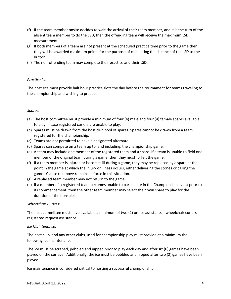- (f) If the team member onsite decides to wait the arrival of their team member, and it is the turn of the absent team member to do the LSD, then the offending team will receive the maximum LSD measurement.
- (g) If both members of a team are not present at the scheduled practice time prior to the game then they will be awarded maximum points for the purpose of calculating the distance of the LSD to the button.
- (h) The non-offending team may complete their practice and their LSD.

## *Practice Ice:*

The host site must provide half hour practice slots the day before the tournament for teams traveling to the championship and wishing to practice.

#### *Spares:*

- (a) The host committee must provide a minimum of four (4) male and four (4) female spares available to play in case registered curlers are unable to play.
- (b) Spares must be drawn from the host club pool of spares. Spares cannot be drawn from a team registered for the championship.
- (c) Teams are not permitted to have a designated alternate.
- (d) Spares can compete on a team up to, and including, the championship game.
- (e) A team may include one member of the registered team and a spare. If a team is unable to field one member of the original team during a game; then they must forfeit the game.
- (f) If a team member is injured or becomes ill during a game, they may be replaced by a spare at the point in the game at which the injury or illness occurs, either delivering the stones or calling the game. Clause (e) above remains in force in this situation.
- (g) A replaced team member may not return to the game.
- (h) If a member of a registered team becomes unable to participate in the Championship event prior to its commencement, then the other team member may select their own spare to play for the duration of the bonspiel.

## *Wheelchair Curlers:*

The host committee must have available a minimum of two (2) on-ice assistants if wheelchair curlers registered request assistance.

## *Ice Maintenance:*

The host club, and any other clubs, used for championship play must provide at a minimum the following ice maintenance:

The ice must be scraped, pebbled and nipped prior to play each day and after six (6) games have been played on the surface. Additionally, the ice must be pebbled and nipped after two (2) games have been played.

Ice maintenance is considered critical to hosting a successful championship.